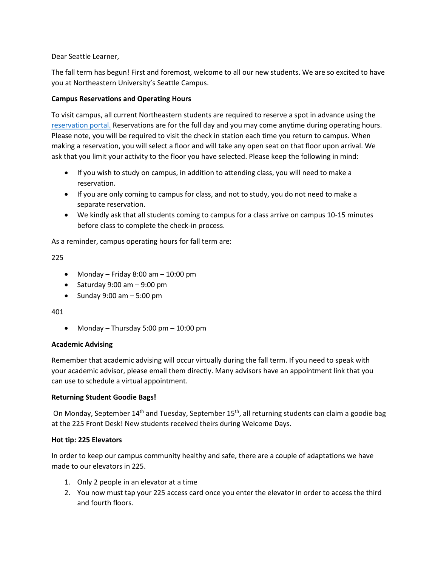## Dear Seattle Learner,

The fall term has begun! First and foremost, welcome to all our new students. We are so excited to have you at Northeastern University's Seattle Campus.

# **Campus Reservations and Operating Hours**

To visit campus, all current Northeastern students are required to reserve a spot in advance using the [reservation portal.](https://nuseattle.as.me/schedule.php?appointmentType=category%3ASeattle+Study) Reservations are for the full day and you may come anytime during operating hours. Please note, you will be required to visit the check in station each time you return to campus. When making a reservation, you will select a floor and will take any open seat on that floor upon arrival. We ask that you limit your activity to the floor you have selected. Please keep the following in mind:

- If you wish to study on campus, in addition to attending class, you will need to make a reservation.
- If you are only coming to campus for class, and not to study, you do not need to make a separate reservation.
- We kindly ask that all students coming to campus for a class arrive on campus 10-15 minutes before class to complete the check-in process.

As a reminder, campus operating hours for fall term are:

225

- Monday Friday 8:00 am 10:00 pm
- $\bullet$  Saturday 9:00 am  $-$  9:00 pm
- Sunday  $9:00$  am  $-5:00$  pm

### 401

• Monday – Thursday 5:00 pm – 10:00 pm

### **Academic Advising**

Remember that academic advising will occur virtually during the fall term. If you need to speak with your academic advisor, please email them directly. Many advisors have an appointment link that you can use to schedule a virtual appointment.

### **Returning Student Goodie Bags!**

On Monday, September 14<sup>th</sup> and Tuesday, September 15<sup>th</sup>, all returning students can claim a goodie bag at the 225 Front Desk! New students received theirs during Welcome Days.

### **Hot tip: 225 Elevators**

In order to keep our campus community healthy and safe, there are a couple of adaptations we have made to our elevators in 225.

- 1. Only 2 people in an elevator at a time
- 2. You now must tap your 225 access card once you enter the elevator in order to access the third and fourth floors.